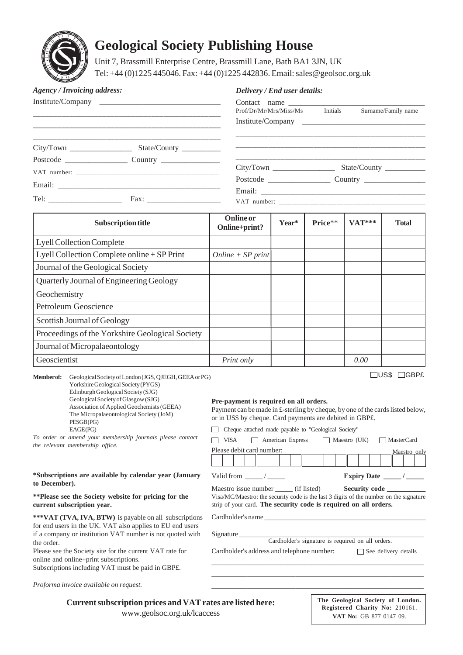

# **Geological Society Publishing House**

Unit 7, Brassmill Enterprise Centre, Brassmill Lane, Bath BA1 3JN, UK Tel: +44 (0)1225 445046. Fax: +44 (0)1225 442836. Email: sales@geolsoc.org.uk

| <b>Agency / Invoicing address:</b> |                                                                          | Delivery / End user details:    |                     |  |  |
|------------------------------------|--------------------------------------------------------------------------|---------------------------------|---------------------|--|--|
|                                    |                                                                          | Prof/Dr/Mr/Mrs/Miss/Ms Initials | Surname/Family name |  |  |
|                                    |                                                                          |                                 |                     |  |  |
|                                    | $City/ Town$ $\_\_\_\_\_\_\_\_\_$ $State/Country$ $\_\_\_\_\_\_\_\_\_\_$ |                                 |                     |  |  |
|                                    |                                                                          |                                 |                     |  |  |
|                                    |                                                                          |                                 |                     |  |  |
|                                    |                                                                          |                                 |                     |  |  |
|                                    |                                                                          |                                 |                     |  |  |

| <b>Subscription title</b>                       | <b>Online</b> or<br>Online+print? | Year* | Price** | <b>VAT***</b> | <b>Total</b> |
|-------------------------------------------------|-----------------------------------|-------|---------|---------------|--------------|
| Lyell Collection Complete                       |                                   |       |         |               |              |
| Lyell Collection Complete online + SP Print     | Online + $SP$ print               |       |         |               |              |
| Journal of the Geological Society               |                                   |       |         |               |              |
| Quarterly Journal of Engineering Geology        |                                   |       |         |               |              |
| Geochemistry                                    |                                   |       |         |               |              |
| Petroleum Geoscience                            |                                   |       |         |               |              |
| Scottish Journal of Geology                     |                                   |       |         |               |              |
| Proceedings of the Yorkshire Geological Society |                                   |       |         |               |              |
| Journal of Micropalaeontology                   |                                   |       |         |               |              |
| Geoscientist                                    | Print only                        |       |         | 0.00          |              |

**Member of:** Geological Society of London (JGS, QJEGH, GEEA or PG) Yorkshire Geological Society (PYGS) Edinburgh Geological Society (SJG) Geological Society of Glasgow (SJG) Association of Applied Geochemists (GEEA) The Micropalaeontological Society (JoM) PESGB (PG) EAGE(PG)

*To order or amend your membership journals please contact the relevant membership office.*

#### **\*Subscriptions are available by calendar year (January to December).**

#### **\*\*Please see the Society website for pricing for the current subscription year.**

**\*\*\*VAT (TVA, IVA, BTW)** is payable on all subscriptions for end users in the UK. VAT also applies to EU end users if a company or institution VAT number is not quoted with the order.

Please see the Society site for the current VAT rate for online and online+print subscriptions. Subscriptions including VAT must be paid in GBP£.

*Proforma invoice available on request.*

## **Pre-payment is required on all orders.**

US\$ GBP£

Payment can be made in £-sterling by cheque, by one of the cards listed below, or in US\$ by cheque. Card payments are debited in GBP£.

Cheque attached made payable to "Geological Society"

| Please debit card number:<br>Expiry Date /<br>Valid from /<br>Maestro issue number (if listed)<br>Security code<br>Visa/MC/Maestro: the security code is the last 3 digits of the number on the signature | $VISA$ $\Box$ American Express |  | Maestro $(UK)$ MasterCard |
|-----------------------------------------------------------------------------------------------------------------------------------------------------------------------------------------------------------|--------------------------------|--|---------------------------|
|                                                                                                                                                                                                           |                                |  | Maestro only              |
|                                                                                                                                                                                                           |                                |  |                           |
| strip of your card. The security code is required on all orders.                                                                                                                                          |                                |  |                           |

\_\_\_\_\_\_\_\_\_\_\_\_\_\_\_\_\_\_\_\_\_\_\_\_\_\_\_\_\_\_\_\_\_\_\_\_\_\_\_\_\_\_\_\_\_\_\_\_\_\_\_\_\_\_\_\_\_\_\_\_\_\_ \_\_\_\_\_\_\_\_\_\_\_\_\_\_\_\_\_\_\_\_\_\_\_\_\_\_\_\_\_\_\_\_\_\_\_\_\_\_\_\_\_\_\_\_\_\_\_\_\_\_\_\_\_\_\_\_\_\_\_\_\_ \_\_\_\_\_\_\_\_\_\_\_\_\_\_\_\_\_\_\_\_\_\_\_\_\_\_\_\_\_\_\_\_\_\_\_\_\_\_\_\_\_\_\_\_\_\_\_\_\_\_\_\_\_\_\_\_\_\_\_\_\_

Cardholder's name

Signature

Cardholder's signature is required on all orders.

Cardholder's address and telephone number: See delivery details

**Current subscription prices and VAT rates are listed here:**

www.geolsoc.org.uk/lcaccess

| The Geological Society of London. |  |  |
|-----------------------------------|--|--|
| Registered Charity No: 210161.    |  |  |
| VAT No: GB 877 0147 09.           |  |  |